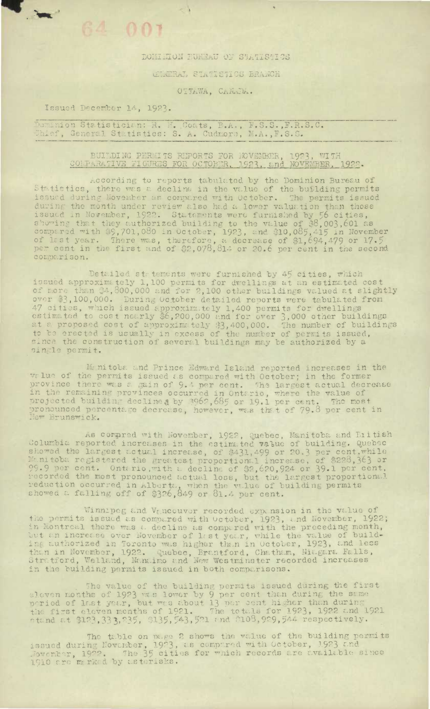## DOMINION BUREAU OF STATISTICS

GENERAL STATISTICS BRANCH

OTTAWA, CANEDA.

## Issued December 14, 1923.

64 001

Dominion Statistician: R. H. Coats, B.A., F.S.S., F.R.S.C.<br>Chief, General Statistics: S. A. Cudmore, M.A., F.S.S.

 $\sim$  1

## BUILDING PERMITS REPORTS FOR NOVEMBER, 1923, WITH COLPARATIVE FIGURES FOR OCTOBER, 1923, and NOVEMBER, 1922.

According to reports tabulated by the Dominion Bureau of Statistics, there was a decline in the value of the building permits issued during November as compared with October. The permits issued during the month under review also had a lower valuation than those during the month under review also had a lower valuation than those<br>issued in November, 1922. Statements were furnished by 56 cities,<br>showing that they authorized building to the value of \$8,003,601 as<br>compared with \$9,701 comparison.

Detailed statements were furnished by 45 cities, which<br>issued approximately 1,100 permits for dwellings at an estimated cost<br>of more than 04,800,000 and for 2,100 other buildings valued at slightly over \$3,100,000. During October detailed reports were tabulated from 47 cities, which issued approximately 1,400 permits for dwellings<br>estimated to cost nearly \$6,200,000 and for over 3,000 other buildings<br>at a proposed cost of approximately \$3,400,000. The number of buildings<br>to be erected since the construction of several buildings may be authorized by a single permit.

Manitola and Prince Edward Island reported increases in the value of the permits issued as compared with October; in the former province there was a gain of 9.1 per cent. The largest actual decrease in the remaining provinces occurred in Ontario, where the value of projected building decline a by 3962,685 or 19.1 per cent. The most pronounced percentage decrease, however, was that of 79.8 per cent in New Brunswick.

As compred with November, 1922, Quebec, Manitoba and Eiltish<br>Columbia reported increases in the estimated value of building. Quebec<br>showed the largest actual increase, of \$431,499 or 20.3 per cent, while<br>Manitoba registere

Winnipeg and  $V_{\ell}$ , neouver recorded expansion in the value of<br>the permits issued as compared with October, 1923, and November, 1922;<br>in Montreal there was a decline as compared with the preceding month,<br>but an increase

The value of the building permits issued during the first<br>sloven months of 1923 was lower by 9 per cent than during the same<br>poriod of last year, but was about 13 per cent higher than during<br>the first eleven months of 1921

The table on page 2 shows the value of the building permits<br>issued during November, 1923, as compared with October, 1923 and<br>.jovember, 1922. The 35 cities for which records are available since<br>1910 are marked by asterisks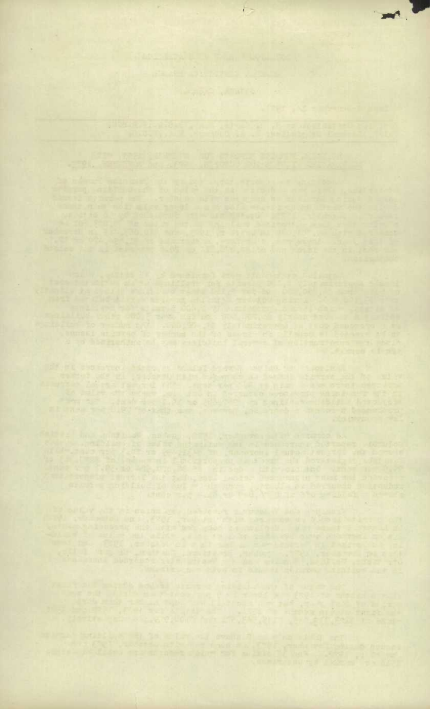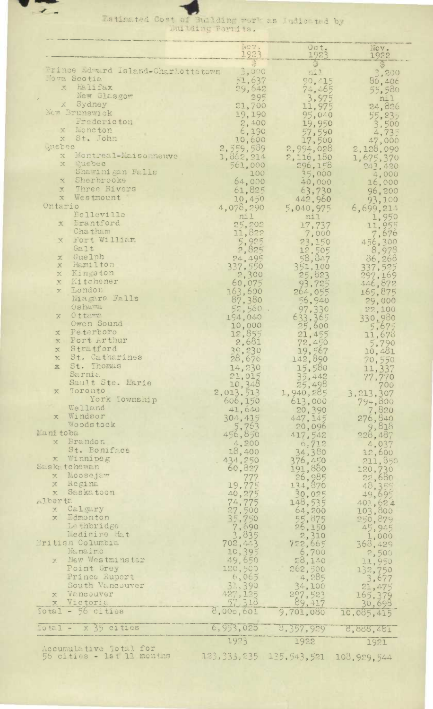

 $\overline{1}$ 

|                                                   | NOV.<br>1923                                             | Oct.<br>1923           | NOV.<br>1922                   |
|---------------------------------------------------|----------------------------------------------------------|------------------------|--------------------------------|
|                                                   |                                                          | $\mathbb{G}$           | $\mathfrak{F}$                 |
| Prince Edward Island-Charlottetown<br>Jova Scotia | 3,000                                                    | nil                    | 3,200                          |
| x halifax                                         | 51,637<br>29,642                                         | 90,415                 | 80,406                         |
| New Glasgow                                       | 295                                                      | 74,465<br>3,975        | 55,580<br>nil                  |
| Sydney<br>X                                       | 21,700                                                   | 11,975                 | 24,826                         |
| New Brunswick                                     | 19,190                                                   | 95,040                 | 55,235                         |
| Fredericton                                       | 2,400                                                    | 19,950                 | 3,500                          |
| x Moncton<br>x St. John                           | 6,190                                                    | 57,590                 | 4,735                          |
| mebec                                             | 10,600                                                   | 17,500                 | 47,000                         |
| Montreal-Maisonneuve<br>$\mathbf{x}$              | 2,559,589<br>1,862,214                                   | 2,994,028<br>2,116,180 | 2,128,090<br>1,675,370         |
| $\mathbf{x}$<br>Quebec                            | 561,000                                                  | 296,158                | 243,420                        |
| Shawinigan Balls                                  | 100                                                      | 35,000                 | 4,000                          |
| Sherbrooke<br>$\mathbf{X}$<br>Three Rivers        | 64,000                                                   | 40,000                 | 16,000                         |
| $\mathbf{x}$<br>$\mathbb{X}^-$<br>Westmount       | 61,825                                                   | 63,730                 | 96,200                         |
| Ontario                                           | 10,450<br>4,078,290                                      | 442,960<br>5,040,975   | 93,100<br>6,699,214            |
| Belleville                                        | ni1                                                      | nil                    |                                |
| Erantford<br>$\mathbf{x}$                         | 25,202                                                   | 17,737                 |                                |
| Chatham                                           | 11,822                                                   | 7,000                  | $1,950$<br>$11,955$<br>$7,676$ |
| Fort William<br>$\mathbf{x}$<br>Galt              | 5,925                                                    | 23,150                 | 456,300                        |
| Guelph<br>$\mathbb{X}$                            | 2,825<br>24,495                                          | 12,505<br>58,347       | 8,978                          |
| Hamilton<br>$\mathbf{x}$                          | 337,550                                                  | 351,100                | 86,268<br>337,525              |
| x Kingston                                        | 2,300                                                    | 25,823                 | 297,169                        |
| x Kitchener                                       | 60,075                                                   | 93,725                 | 446,872                        |
| London<br>$\mathbb{X}$<br>Miagara Falls           | 163,600                                                  | 264,055                | 165,875                        |
| Oshama                                            | 87,380<br>52,560                                         | 56,940                 | 29,000                         |
| Otterre.<br>$\mathbb X$                           | 194,040                                                  | 97,330<br>633,365      | 22,100<br>330,980              |
| Owen Sound                                        | 10,000                                                   | 25,600                 | 5,675                          |
| Peterboro<br>$\mathbf{x}$                         | 12,855                                                   | 21,455                 | 11,678                         |
| Port Arthur<br>$\mathbbm{X}$<br>Stratford         | 2,681                                                    | 72,450                 | 5,790                          |
| $\mathbb{X}$<br>x St. Catharines                  | 39,230<br>28,676                                         | 19,567<br>142,890      | 10,481                         |
| St. Thomas<br>$\mathbf{x}$                        | 14,230                                                   | 15,580                 | 70,550                         |
| Sarnia                                            | 21,015                                                   |                        | 11,337<br>77,770               |
| Sault Ste. Marie                                  | 10,348                                                   | $35,442$<br>$25,498$   | 700                            |
| Toronto<br>X                                      | 2,013,513                                                | 1,940,285              | 3, 213, 307                    |
| York Township<br>Welland                          | 606,150                                                  | 613,000                | $79 - 800$                     |
| Windsor<br>$\mathbf{x}$                           | 41,640<br>304,415                                        | 20,390<br>447, 145     | 7,820<br>276,840               |
| Woodstock                                         | 5,763                                                    | 20,096                 |                                |
| Mani toba                                         | 456,850                                                  | 417,542                | 228, 818                       |
| x Frandon                                         | 4,200                                                    | 6.712                  | 4,037                          |
| St. Boniface<br>x Winnipeg                        | 18,400                                                   | 34,380                 | 12,600                         |
| Saskatchewan                                      | 434,250<br>60,827                                        | 376,450<br>191,880     | 211,850<br>120,730             |
| x Moosejaw                                        | 777                                                      | 26,985                 | 22,680                         |
| Regina<br>$\mathbf{x}$                            | 19,775                                                   | 134,870                | 48,355                         |
| x Saskatoon                                       | 40, 275                                                  | 30,025                 | 49,695                         |
| Alberta<br>x Calgary                              | 74,775                                                   | 148,535                | 401,624                        |
| Edmonton<br>$\mathbf{x}$                          | $\frac{27}{35}, \frac{500}{7}, \frac{600}{690}$<br>3,835 | 64,200<br>55,875       | 103,800<br>250,879             |
| Lethbridge                                        |                                                          |                        | 45,945                         |
| Medicine Hat                                      |                                                          | $26,150$<br>$2,310$    |                                |
| British Columbia                                  | 702,443                                                  | 722,665                | <b>1,000</b><br>368,429        |
| Nanaimo<br>New Westminster<br>$\mathbf{x}$        | 10,395<br>49,650                                         | 6,700                  | 2,500                          |
| Point Grey                                        | 120,500                                                  | 28,140<br>262,500      | 11,950                         |
| Prince Rupert                                     | 6,065                                                    | 4,285                  | 3,677                          |
| South Vancouver                                   | 31,390                                                   | 34,100                 | 21,475                         |
| Vancouver<br>$\mathbf{x}$                         | 427, 125                                                 | 297,523                | 165,379                        |
| Victoria<br>$\mathbf{x}$                          | 57.318                                                   | 89, 417                | 30,698                         |
| Total - 56 cities                                 | 8,000,601                                                | 9,701,080              | 10,085,415                     |
| Total - x 35 cities                               | 6,953,023                                                | 8,357,929              | 8,888,481                      |
|                                                   | 1923                                                     | 1922                   | 1921                           |
| Accumulative Total for                            |                                                          |                        |                                |
| 56 cities - 1st 11 months                         | 123, 333, 235 135, 543, 521 108, 929, 544                |                        |                                |